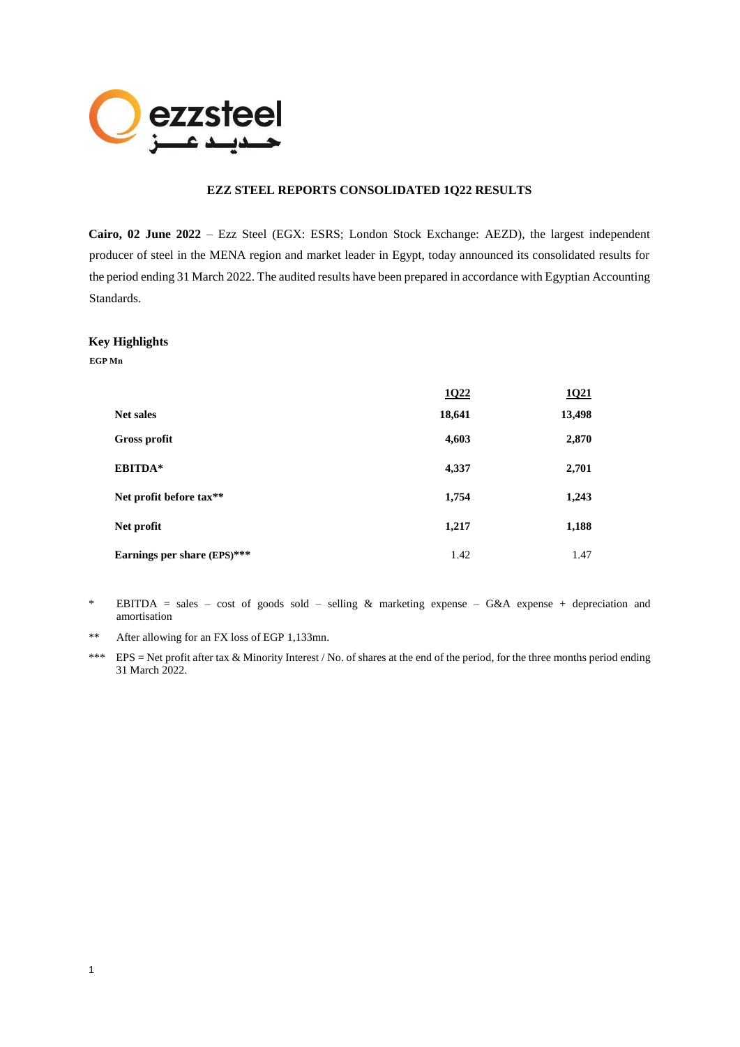

# **EZZ STEEL REPORTS CONSOLIDATED 1Q22 RESULTS**

**Cairo, 02 June 2022** – Ezz Steel (EGX: ESRS; London Stock Exchange: AEZD), the largest independent producer of steel in the MENA region and market leader in Egypt, today announced its consolidated results for the period ending 31 March 2022. The audited results have been prepared in accordance with Egyptian Accounting Standards.

#### **Key Highlights**

**EGP Mn**

|                             | 1022   | <b>1021</b> |
|-----------------------------|--------|-------------|
| <b>Net sales</b>            | 18,641 | 13,498      |
| Gross profit                | 4,603  | 2,870       |
| EBITDA*                     | 4,337  | 2,701       |
| Net profit before tax**     | 1,754  | 1,243       |
| Net profit                  | 1,217  | 1,188       |
| Earnings per share (EPS)*** | 1.42   | 1.47        |

\* EBITDA = sales – cost of goods sold – selling & marketing expense – G&A expense + depreciation and amortisation

- \*\* After allowing for an FX loss of EGP 1,133mn.
- \*\*\* EPS = Net profit after tax & Minority Interest / No. of shares at the end of the period, for the three months period ending 31 March 2022.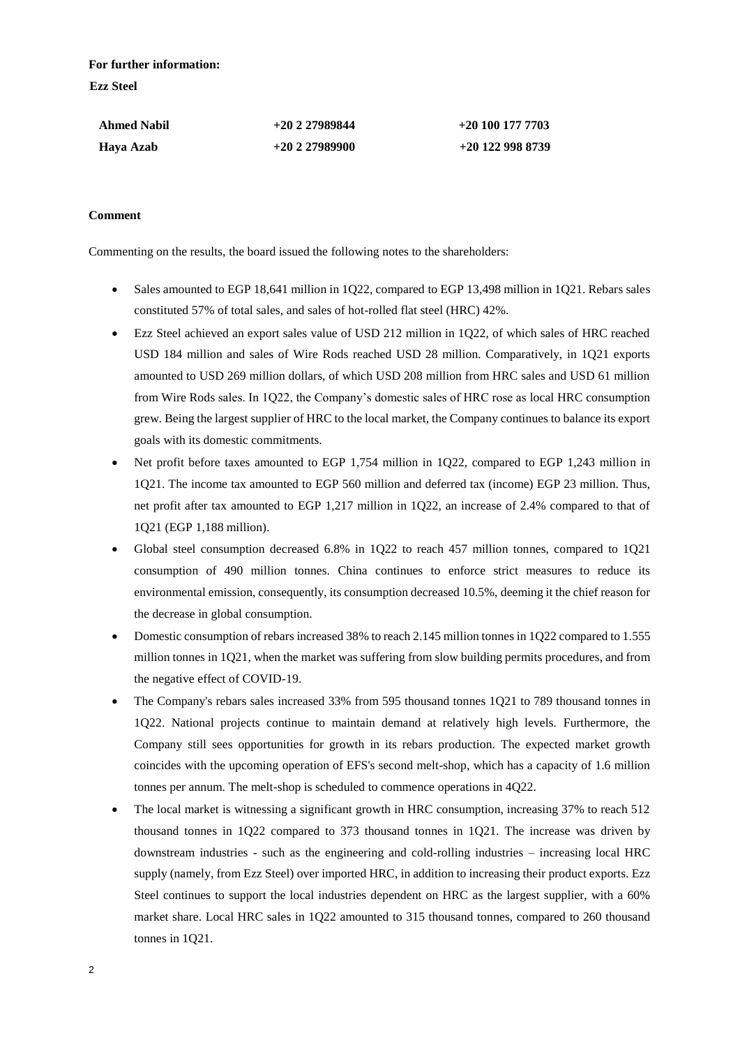**For further information: Ezz Steel**

| <b>Ahmed Nabil</b> | $+20227989844$ | $+20$ 100 177 7703 |
|--------------------|----------------|--------------------|
| Haya Azab          | $+20227989900$ | $+20$ 122 998 8739 |

### **Comment**

Commenting on the results, the board issued the following notes to the shareholders:

- Sales amounted to EGP 18,641 million in 1Q22, compared to EGP 13,498 million in 1Q21. Rebars sales constituted 57% of total sales, and sales of hot-rolled flat steel (HRC) 42%.
- Ezz Steel achieved an export sales value of USD 212 million in 1Q22, of which sales of HRC reached USD 184 million and sales of Wire Rods reached USD 28 million. Comparatively, in 1Q21 exports amounted to USD 269 million dollars, of which USD 208 million from HRC sales and USD 61 million from Wire Rods sales. In 1Q22, the Company's domestic sales of HRC rose as local HRC consumption grew. Being the largest supplier of HRC to the local market, the Company continues to balance its export goals with its domestic commitments.
- Net profit before taxes amounted to EGP 1,754 million in 1Q22, compared to EGP 1,243 million in 1Q21. The income tax amounted to EGP 560 million and deferred tax (income) EGP 23 million. Thus, net profit after tax amounted to EGP 1,217 million in 1Q22, an increase of 2.4% compared to that of 1Q21 (EGP 1,188 million).
- Global steel consumption decreased 6.8% in 1Q22 to reach 457 million tonnes, compared to 1Q21 consumption of 490 million tonnes. China continues to enforce strict measures to reduce its environmental emission, consequently, its consumption decreased 10.5%, deeming it the chief reason for the decrease in global consumption.
- Domestic consumption of rebars increased 38% to reach 2.145 million tonnes in 1Q22 compared to 1.555 million tonnes in 1Q21, when the market was suffering from slow building permits procedures, and from the negative effect of COVID-19.
- The Company's rebars sales increased 33% from 595 thousand tonnes 1Q21 to 789 thousand tonnes in 1Q22. National projects continue to maintain demand at relatively high levels. Furthermore, the Company still sees opportunities for growth in its rebars production. The expected market growth coincides with the upcoming operation of EFS's second melt-shop, which has a capacity of 1.6 million tonnes per annum. The melt-shop is scheduled to commence operations in 4Q22.
- The local market is witnessing a significant growth in HRC consumption, increasing 37% to reach 512 thousand tonnes in 1Q22 compared to 373 thousand tonnes in 1Q21. The increase was driven by downstream industries - such as the engineering and cold-rolling industries – increasing local HRC supply (namely, from Ezz Steel) over imported HRC, in addition to increasing their product exports. Ezz Steel continues to support the local industries dependent on HRC as the largest supplier, with a 60% market share. Local HRC sales in 1Q22 amounted to 315 thousand tonnes, compared to 260 thousand tonnes in 1Q21.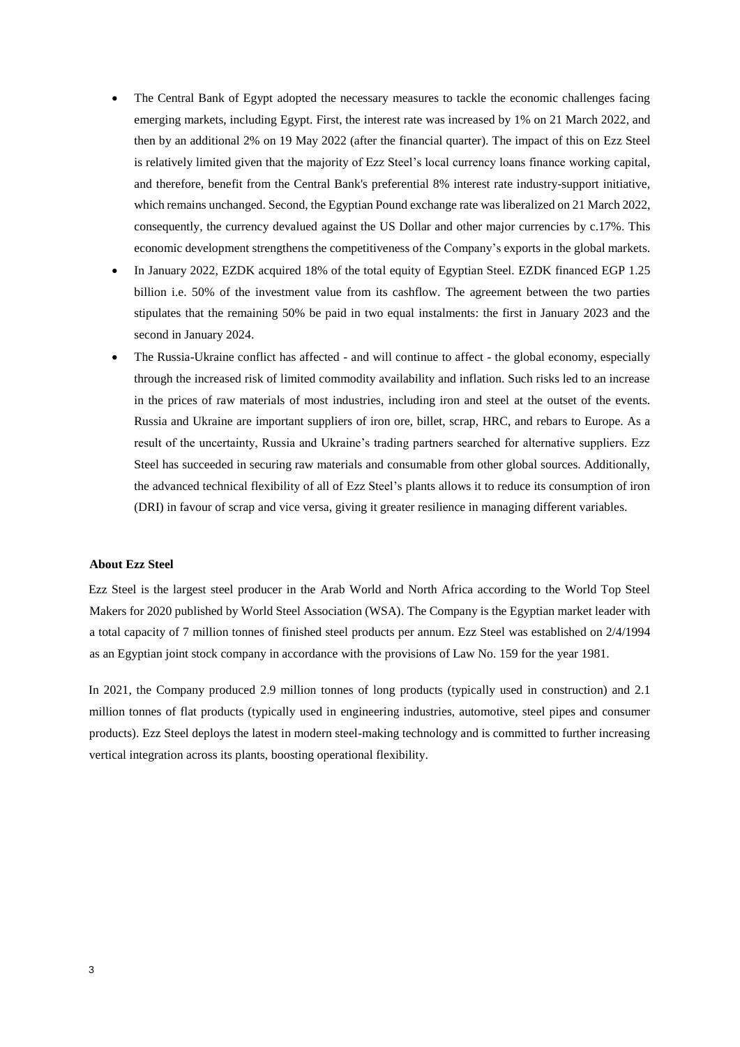- The Central Bank of Egypt adopted the necessary measures to tackle the economic challenges facing emerging markets, including Egypt. First, the interest rate was increased by 1% on 21 March 2022, and then by an additional 2% on 19 May 2022 (after the financial quarter). The impact of this on Ezz Steel is relatively limited given that the majority of Ezz Steel's local currency loans finance working capital, and therefore, benefit from the Central Bank's preferential 8% interest rate industry-support initiative, which remains unchanged. Second, the Egyptian Pound exchange rate was liberalized on 21 March 2022, consequently, the currency devalued against the US Dollar and other major currencies by c.17%. This economic development strengthens the competitiveness of the Company's exports in the global markets.
- In January 2022, EZDK acquired 18% of the total equity of Egyptian Steel. EZDK financed EGP 1.25 billion i.e. 50% of the investment value from its cashflow. The agreement between the two parties stipulates that the remaining 50% be paid in two equal instalments: the first in January 2023 and the second in January 2024.
- The Russia-Ukraine conflict has affected and will continue to affect the global economy, especially through the increased risk of limited commodity availability and inflation. Such risks led to an increase in the prices of raw materials of most industries, including iron and steel at the outset of the events. Russia and Ukraine are important suppliers of iron ore, billet, scrap, HRC, and rebars to Europe. As a result of the uncertainty, Russia and Ukraine's trading partners searched for alternative suppliers. Ezz Steel has succeeded in securing raw materials and consumable from other global sources. Additionally, the advanced technical flexibility of all of Ezz Steel's plants allows it to reduce its consumption of iron (DRI) in favour of scrap and vice versa, giving it greater resilience in managing different variables.

#### **About Ezz Steel**

Ezz Steel is the largest steel producer in the Arab World and North Africa according to the World Top Steel Makers for 2020 published by World Steel Association (WSA). The Company is the Egyptian market leader with a total capacity of 7 million tonnes of finished steel products per annum. Ezz Steel was established on 2/4/1994 as an Egyptian joint stock company in accordance with the provisions of Law No. 159 for the year 1981.

In 2021, the Company produced 2.9 million tonnes of long products (typically used in construction) and 2.1 million tonnes of flat products (typically used in engineering industries, automotive, steel pipes and consumer products). Ezz Steel deploys the latest in modern steel-making technology and is committed to further increasing vertical integration across its plants, boosting operational flexibility.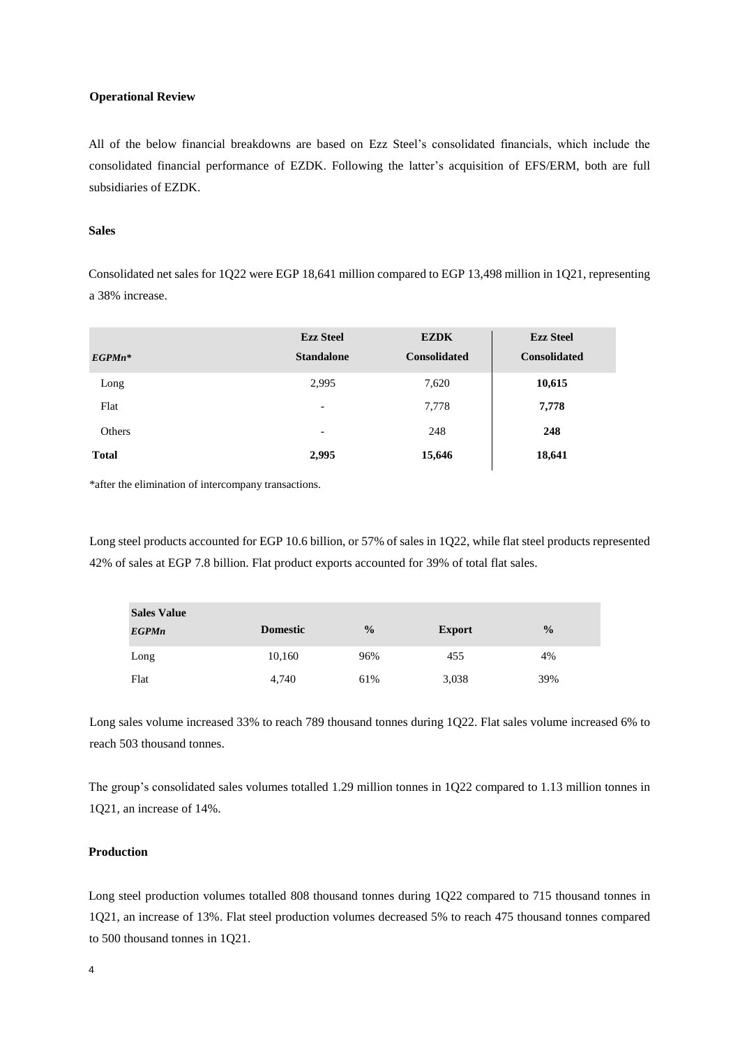### **Operational Review**

All of the below financial breakdowns are based on Ezz Steel's consolidated financials, which include the consolidated financial performance of EZDK. Following the latter's acquisition of EFS/ERM, both are full subsidiaries of EZDK.

### **Sales**

Consolidated net sales for 1Q22 were EGP 18,641 million compared to EGP 13,498 million in 1Q21, representing a 38% increase.

| $EGP M n^*$  | <b>Ezz Steel</b><br><b>Standalone</b> | <b>EZDK</b><br><b>Consolidated</b> | <b>Ezz Steel</b><br><b>Consolidated</b> |
|--------------|---------------------------------------|------------------------------------|-----------------------------------------|
| Long         | 2,995                                 | 7,620                              | 10,615                                  |
| Flat         | $\overline{\phantom{a}}$              | 7,778                              | 7,778                                   |
| Others       | $\overline{\phantom{a}}$              | 248                                | 248                                     |
| <b>Total</b> | 2,995                                 | 15,646                             | 18,641                                  |

\*after the elimination of intercompany transactions.

Long steel products accounted for EGP 10.6 billion, or 57% of sales in 1Q22, while flat steel products represented 42% of sales at EGP 7.8 billion. Flat product exports accounted for 39% of total flat sales.

| <b>Sales Value</b> |                 |               |               |               |
|--------------------|-----------------|---------------|---------------|---------------|
| <b>EGPMn</b>       | <b>Domestic</b> | $\frac{0}{0}$ | <b>Export</b> | $\frac{0}{0}$ |
| Long               | 10,160          | 96%           | 455           | 4%            |
| Flat               | 4,740           | 61%           | 3,038         | 39%           |

Long sales volume increased 33% to reach 789 thousand tonnes during 1Q22. Flat sales volume increased 6% to reach 503 thousand tonnes.

The group's consolidated sales volumes totalled 1.29 million tonnes in 1Q22 compared to 1.13 million tonnes in 1Q21, an increase of 14%.

# **Production**

Long steel production volumes totalled 808 thousand tonnes during 1Q22 compared to 715 thousand tonnes in 1Q21, an increase of 13%. Flat steel production volumes decreased 5% to reach 475 thousand tonnes compared to 500 thousand tonnes in 1Q21.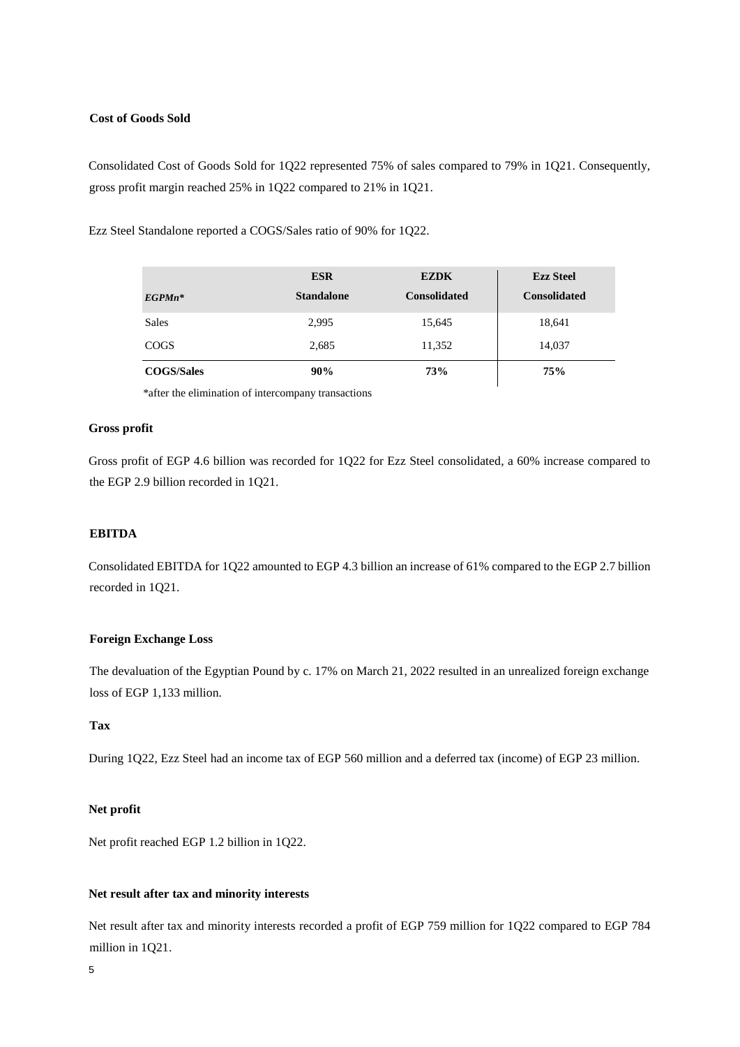## **Cost of Goods Sold**

Consolidated Cost of Goods Sold for 1Q22 represented 75% of sales compared to 79% in 1Q21. Consequently, gross profit margin reached 25% in 1Q22 compared to 21% in 1Q21.

Ezz Steel Standalone reported a COGS/Sales ratio of 90% for 1Q22.

|                   | <b>ESR</b>        | <b>EZDK</b>         | <b>Ezz Steel</b>    |
|-------------------|-------------------|---------------------|---------------------|
| $EGP M n^*$       | <b>Standalone</b> | <b>Consolidated</b> | <b>Consolidated</b> |
| <b>Sales</b>      | 2,995             | 15,645              | 18,641              |
| <b>COGS</b>       | 2,685             | 11,352              | 14,037              |
| <b>COGS/Sales</b> | 90%               | 73%                 | <b>75%</b>          |

\*after the elimination of intercompany transactions

## **Gross profit**

Gross profit of EGP 4.6 billion was recorded for 1Q22 for Ezz Steel consolidated, a 60% increase compared to the EGP 2.9 billion recorded in 1Q21.

# **EBITDA**

Consolidated EBITDA for 1Q22 amounted to EGP 4.3 billion an increase of 61% compared to the EGP 2.7 billion recorded in 1Q21.

## **Foreign Exchange Loss**

The devaluation of the Egyptian Pound by c. 17% on March 21, 2022 resulted in an unrealized foreign exchange loss of EGP 1,133 million.

# **Tax**

During 1Q22, Ezz Steel had an income tax of EGP 560 million and a deferred tax (income) of EGP 23 million.

## **Net profit**

Net profit reached EGP 1.2 billion in 1Q22.

## **Net result after tax and minority interests**

Net result after tax and minority interests recorded a profit of EGP 759 million for 1Q22 compared to EGP 784 million in 1Q21.

5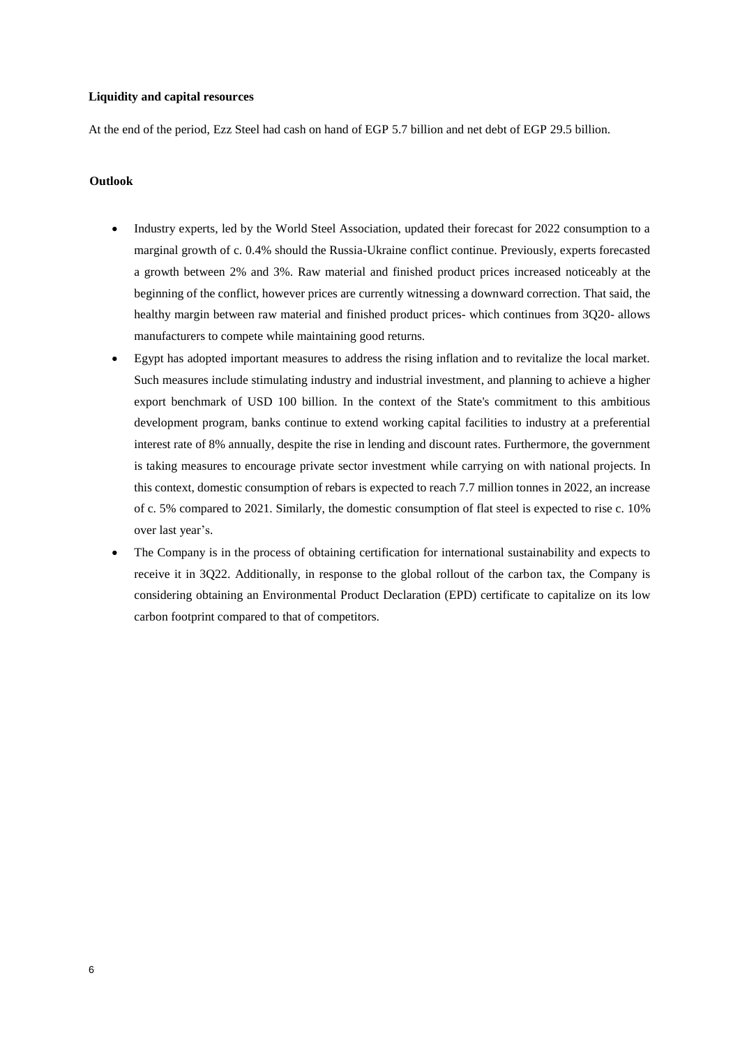### **Liquidity and capital resources**

At the end of the period, Ezz Steel had cash on hand of EGP 5.7 billion and net debt of EGP 29.5 billion.

#### **Outlook**

- Industry experts, led by the World Steel Association, updated their forecast for 2022 consumption to a marginal growth of c. 0.4% should the Russia-Ukraine conflict continue. Previously, experts forecasted a growth between 2% and 3%. Raw material and finished product prices increased noticeably at the beginning of the conflict, however prices are currently witnessing a downward correction. That said, the healthy margin between raw material and finished product prices- which continues from 3Q20- allows manufacturers to compete while maintaining good returns.
- Egypt has adopted important measures to address the rising inflation and to revitalize the local market. Such measures include stimulating industry and industrial investment, and planning to achieve a higher export benchmark of USD 100 billion. In the context of the State's commitment to this ambitious development program, banks continue to extend working capital facilities to industry at a preferential interest rate of 8% annually, despite the rise in lending and discount rates. Furthermore, the government is taking measures to encourage private sector investment while carrying on with national projects. In this context, domestic consumption of rebars is expected to reach 7.7 million tonnes in 2022, an increase of c. 5% compared to 2021. Similarly, the domestic consumption of flat steel is expected to rise c. 10% over last year's.
- The Company is in the process of obtaining certification for international sustainability and expects to receive it in 3Q22. Additionally, in response to the global rollout of the carbon tax, the Company is considering obtaining an Environmental Product Declaration (EPD) certificate to capitalize on its low carbon footprint compared to that of competitors.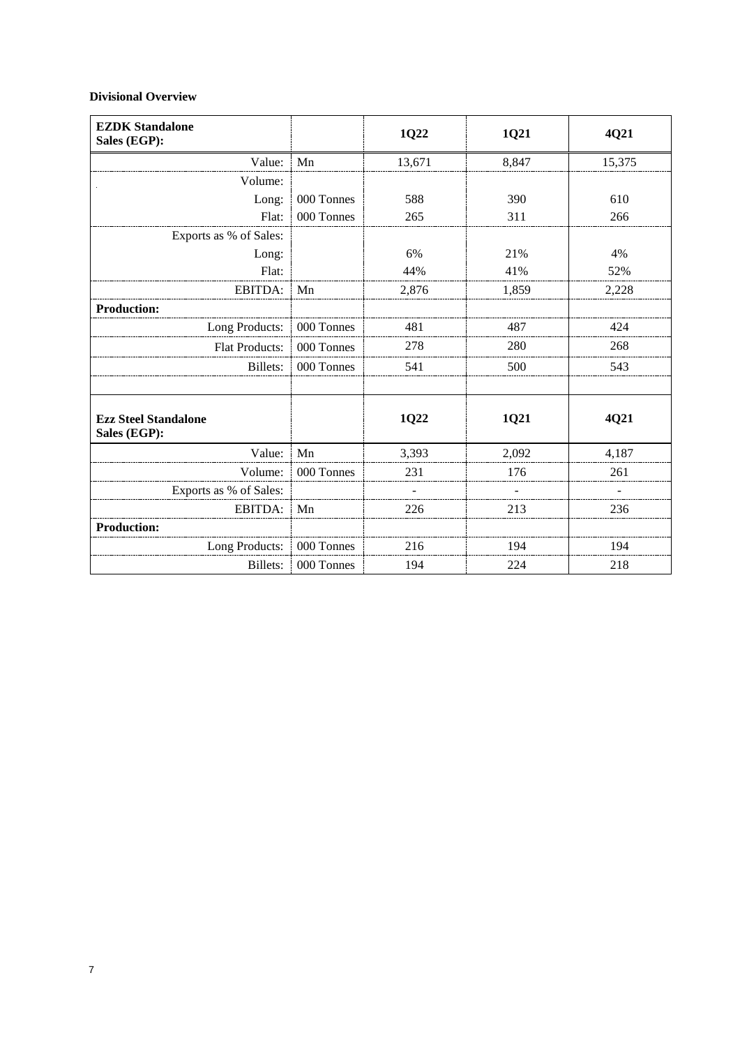# **Divisional Overview**

| <b>EZDK Standalone</b><br>Sales (EGP):      |            | 1Q22   | 1Q21  | 4Q21   |
|---------------------------------------------|------------|--------|-------|--------|
| Value:                                      | Mn         | 13,671 | 8,847 | 15,375 |
| Volume:                                     |            |        |       |        |
| Long:                                       | 000 Tonnes | 588    | 390   | 610    |
| Flat:                                       | 000 Tonnes | 265    | 311   | 266    |
| Exports as % of Sales:                      |            |        |       |        |
| Long:                                       |            | 6%     | 21%   | 4%     |
| Flat:                                       |            | 44%    | 41%   | 52%    |
| EBITDA:                                     | Mn         | 2,876  | 1,859 | 2,228  |
| <b>Production:</b>                          |            |        |       |        |
| Long Products:                              | 000 Tonnes | 481    | 487   | 424    |
| <b>Flat Products:</b>                       | 000 Tonnes | 278    | 280   | 268    |
| <b>Billets:</b>                             | 000 Tonnes | 541    | 500   | 543    |
| <b>Ezz Steel Standalone</b><br>Sales (EGP): |            | 1Q22   | 1Q21  | 4Q21   |
| Value:                                      | Mn         | 3,393  | 2,092 | 4,187  |
| Volume:                                     | 000 Tonnes | 231    | 176   | 261    |
| Exports as % of Sales:                      |            |        |       |        |
| EBITDA:                                     | Mn         | 226    | 213   | 236    |
| <b>Production:</b>                          |            |        |       |        |
| Long Products:                              | 000 Tonnes | 216    | 194   | 194    |
| Billets:                                    | 000 Tonnes | 194    | 224   | 218    |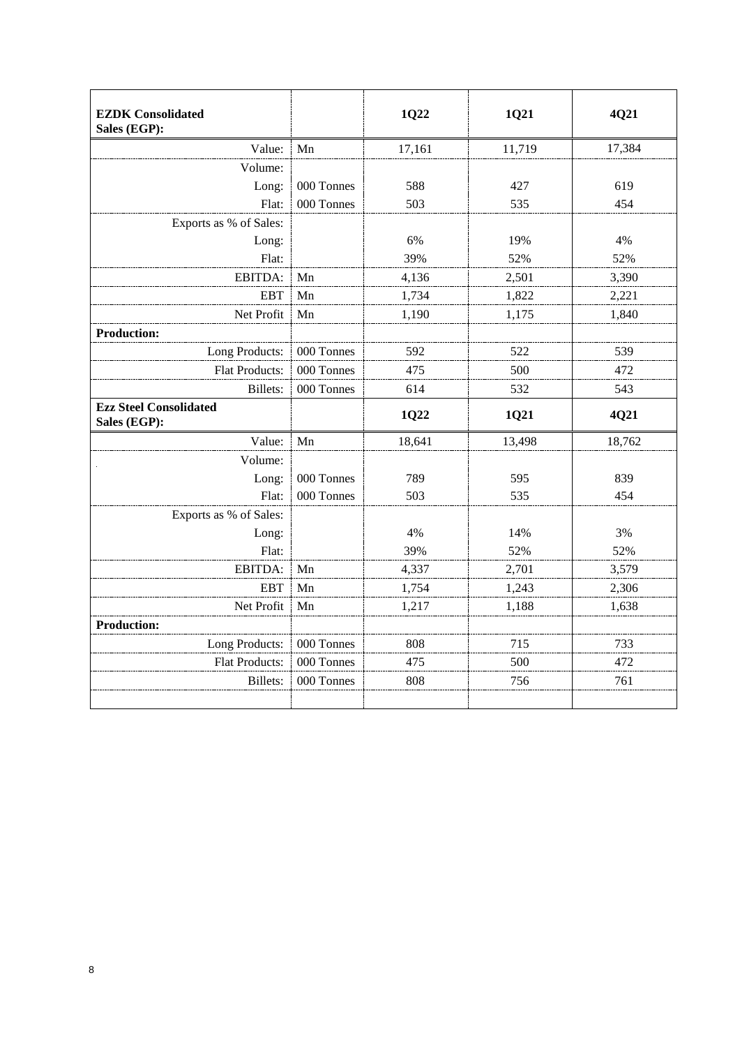| <b>EZDK</b> Consolidated<br>Sales (EGP): |            | 1Q22   | 1Q21   | 4Q21   |
|------------------------------------------|------------|--------|--------|--------|
| Value:                                   | Mn         | 17,161 | 11,719 | 17,384 |
| Volume:                                  |            |        |        |        |
| Long:                                    | 000 Tonnes | 588    | 427    | 619    |
| Flat:                                    | 000 Tonnes | 503    | 535    | 454    |
| Exports as % of Sales:                   |            |        |        |        |
| Long:                                    |            | 6%     | 19%    | 4%     |
| Flat:                                    |            | 39%    | 52%    | 52%    |
| EBITDA:                                  | Mn         | 4,136  | 2,501  | 3,390  |
| EBT                                      | Mn         | 1,734  | 1,822  | 2,221  |
| Net Profit                               | Mn         | 1,190  | 1,175  | 1,840  |
| <b>Production:</b>                       |            |        |        |        |
| Long Products:                           | 000 Tonnes | 592    | 522    | 539    |
| <b>Flat Products:</b>                    | 000 Tonnes | 475    | 500    | 472    |
| Billets:                                 | 000 Tonnes | 614    | 532    | 543    |
| <b>Ezz Steel Consolidated</b>            |            |        |        |        |
| Sales (EGP):                             |            | 1Q22   | 1Q21   | 4Q21   |
| Value:                                   | Mn         | 18,641 | 13,498 | 18,762 |
| Volume:                                  |            |        |        |        |
| Long:                                    | 000 Tonnes | 789    | 595    | 839    |
| Flat:                                    | 000 Tonnes | 503    | 535    | 454    |
| Exports as % of Sales:                   |            |        |        |        |
| Long:                                    |            | 4%     | 14%    | 3%     |
| Flat:                                    |            | 39%    | 52%    | 52%    |
| EBITDA:                                  | Mn         | 4,337  | 2,701  | 3,579  |
| <b>EBT</b>                               | Mn         | 1,754  | 1,243  | 2,306  |
| Net Profit                               | Mn         | 1,217  | 1,188  | 1,638  |
| <b>Production:</b>                       |            |        |        |        |
| Long Products:                           | 000 Tonnes | 808    | 715    | 733    |
| <b>Flat Products:</b>                    | 000 Tonnes | 475    | 500    | 472    |
| <b>Billets:</b>                          | 000 Tonnes | 808    | 756    | 761    |